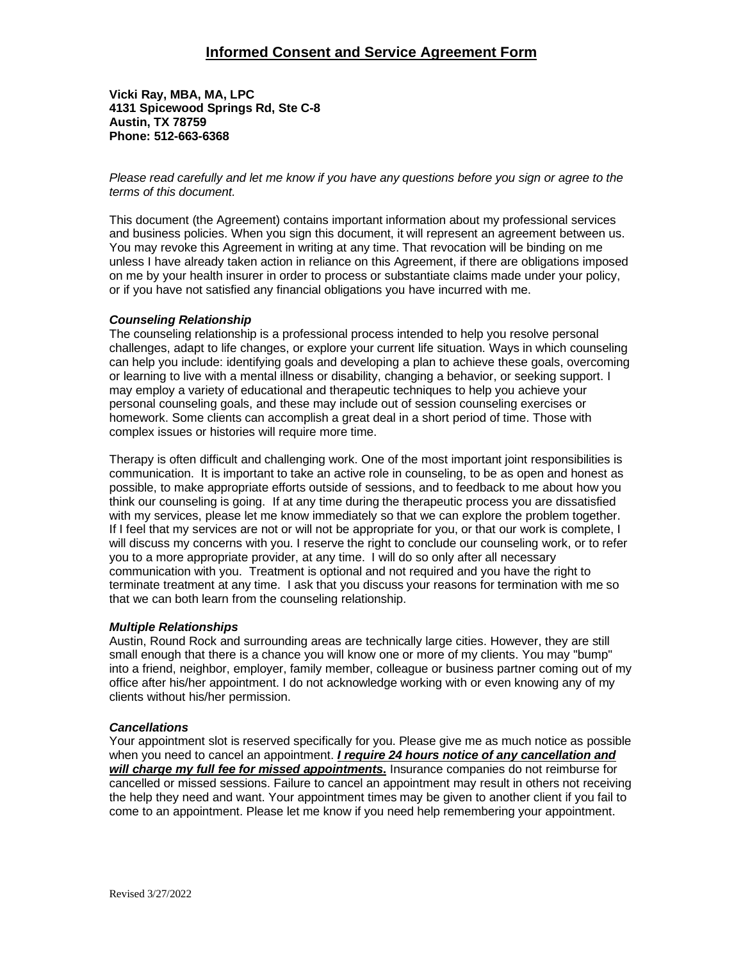## **Informed Consent and Service Agreement Form**

**Vicki Ray, MBA, MA, LPC 4131 Spicewood Springs Rd, Ste C-8 Austin, TX 78759 Phone: 512-663-6368**

*Please read carefully and let me know if you have any questions before you sign or agree to the terms of this document.*

This document (the Agreement) contains important information about my professional services and business policies. When you sign this document, it will represent an agreement between us. You may revoke this Agreement in writing at any time. That revocation will be binding on me unless I have already taken action in reliance on this Agreement, if there are obligations imposed on me by your health insurer in order to process or substantiate claims made under your policy, or if you have not satisfied any financial obligations you have incurred with me.

### *Counseling Relationship*

The counseling relationship is a professional process intended to help you resolve personal challenges, adapt to life changes, or explore your current life situation. Ways in which counseling can help you include: identifying goals and developing a plan to achieve these goals, overcoming or learning to live with a mental illness or disability, changing a behavior, or seeking support. I may employ a variety of educational and therapeutic techniques to help you achieve your personal counseling goals, and these may include out of session counseling exercises or homework. Some clients can accomplish a great deal in a short period of time. Those with complex issues or histories will require more time.

Therapy is often difficult and challenging work. One of the most important joint responsibilities is communication. It is important to take an active role in counseling, to be as open and honest as possible, to make appropriate efforts outside of sessions, and to feedback to me about how you think our counseling is going. If at any time during the therapeutic process you are dissatisfied with my services, please let me know immediately so that we can explore the problem together. If I feel that my services are not or will not be appropriate for you, or that our work is complete, I will discuss my concerns with you. I reserve the right to conclude our counseling work, or to refer you to a more appropriate provider, at any time. I will do so only after all necessary communication with you. Treatment is optional and not required and you have the right to terminate treatment at any time. I ask that you discuss your reasons for termination with me so that we can both learn from the counseling relationship.

## *Multiple Relationships*

Austin, Round Rock and surrounding areas are technically large cities. However, they are still small enough that there is a chance you will know one or more of my clients. You may "bump" into a friend, neighbor, employer, family member, colleague or business partner coming out of my office after his/her appointment. I do not acknowledge working with or even knowing any of my clients without his/her permission.

## *Cancellations*

Your appointment slot is reserved specifically for you. Please give me as much notice as possible when you need to cancel an appointment. *I require 24 hours notice of any cancellation and will charge my full fee for missed appointments***.** Insurance companies do not reimburse for cancelled or missed sessions. Failure to cancel an appointment may result in others not receiving the help they need and want. Your appointment times may be given to another client if you fail to come to an appointment. Please let me know if you need help remembering your appointment.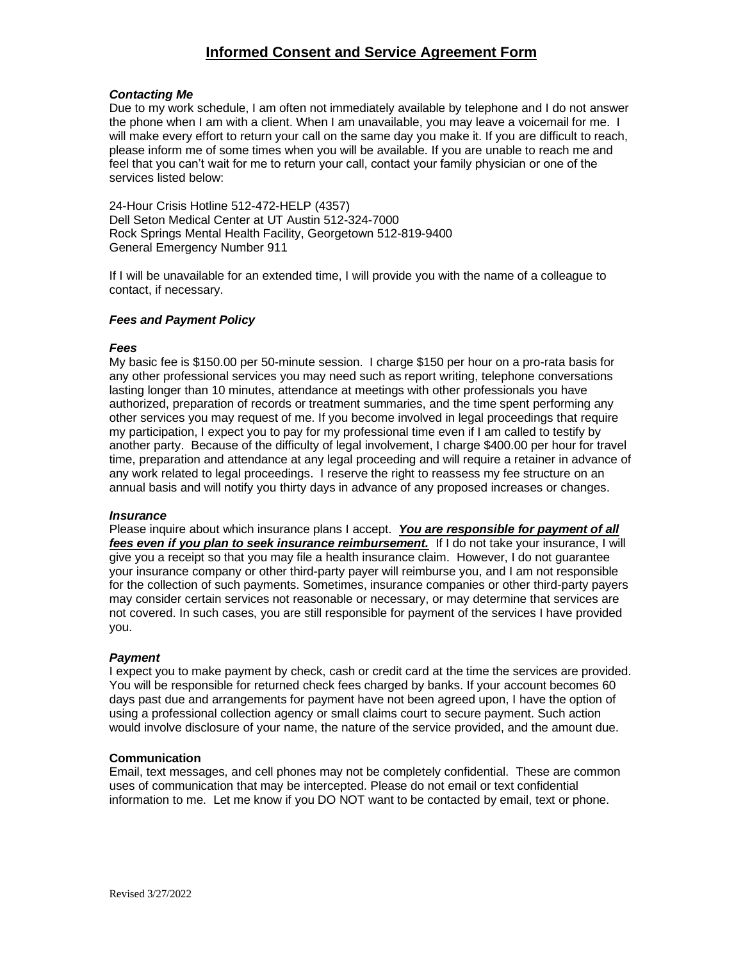# **Informed Consent and Service Agreement Form**

## *Contacting Me*

Due to my work schedule, I am often not immediately available by telephone and I do not answer the phone when I am with a client. When I am unavailable, you may leave a voicemail for me. I will make every effort to return your call on the same day you make it. If you are difficult to reach, please inform me of some times when you will be available. If you are unable to reach me and feel that you can't wait for me to return your call, contact your family physician or one of the services listed below:

24-Hour Crisis Hotline 512-472-HELP (4357) Dell Seton Medical Center at UT Austin 512-324-7000 Rock Springs Mental Health Facility, Georgetown 512-819-9400 General Emergency Number 911

If I will be unavailable for an extended time, I will provide you with the name of a colleague to contact, if necessary.

## *Fees and Payment Policy*

#### *Fees*

My basic fee is \$150.00 per 50-minute session. I charge \$150 per hour on a pro-rata basis for any other professional services you may need such as report writing, telephone conversations lasting longer than 10 minutes, attendance at meetings with other professionals you have authorized, preparation of records or treatment summaries, and the time spent performing any other services you may request of me. If you become involved in legal proceedings that require my participation, I expect you to pay for my professional time even if I am called to testify by another party. Because of the difficulty of legal involvement, I charge \$400.00 per hour for travel time, preparation and attendance at any legal proceeding and will require a retainer in advance of any work related to legal proceedings. I reserve the right to reassess my fee structure on an annual basis and will notify you thirty days in advance of any proposed increases or changes.

#### *Insurance*

Please inquire about which insurance plans I accept. *You are responsible for payment of all fees even if you plan to seek insurance reimbursement.* If I do not take your insurance, I will give you a receipt so that you may file a health insurance claim. However, I do not guarantee your insurance company or other third-party payer will reimburse you, and I am not responsible for the collection of such payments. Sometimes, insurance companies or other third-party payers may consider certain services not reasonable or necessary, or may determine that services are not covered. In such cases, you are still responsible for payment of the services I have provided you.

## *Payment*

I expect you to make payment by check, cash or credit card at the time the services are provided. You will be responsible for returned check fees charged by banks. If your account becomes 60 days past due and arrangements for payment have not been agreed upon, I have the option of using a professional collection agency or small claims court to secure payment. Such action would involve disclosure of your name, the nature of the service provided, and the amount due.

#### **Communication**

Email, text messages, and cell phones may not be completely confidential. These are common uses of communication that may be intercepted. Please do not email or text confidential information to me. Let me know if you DO NOT want to be contacted by email, text or phone.